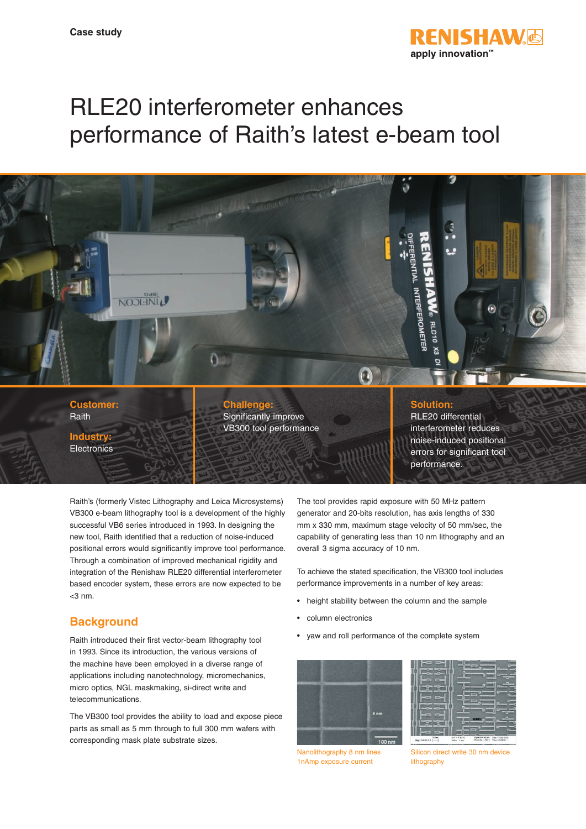

# RLE20 interferometer enhances performance of Raith's latest e-beam tool



Raith's (formerly Vistec Lithography and Leica Microsystems) VB300 e-beam lithography tool is a development of the highly successful VB6 series introduced in 1993. In designing the new tool, Raith identified that a reduction of noise-induced positional errors would significantly improve tool performance. Through a combination of improved mechanical rigidity and integration of the Renishaw RLE20 differential interferometer based encoder system, these errors are now expected to be  $<$ 3 nm.

# **Background**

Raith introduced their first vector-beam lithography tool in 1993. Since its introduction, the various versions of the machine have been employed in a diverse range of applications including nanotechnology, micromechanics, micro optics, NGL maskmaking, si-direct write and telecommunications.

The VB300 tool provides the ability to load and expose piece parts as small as 5 mm through to full 300 mm wafers with corresponding mask plate substrate sizes.

The tool provides rapid exposure with 50 MHz pattern generator and 20-bits resolution, has axis lengths of 330 mm x 330 mm, maximum stage velocity of 50 mm/sec, the capability of generating less than 10 nm lithography and an overall 3 sigma accuracy of 10 nm.

To achieve the stated specification, the VB300 tool includes performance improvements in a number of key areas:

- height stability between the column and the sample
- column electronics
- yaw and roll performance of the complete system



Nanolithography 8 nm lines 1nAmp exposure current

Silicon direct write 30 nm device lithography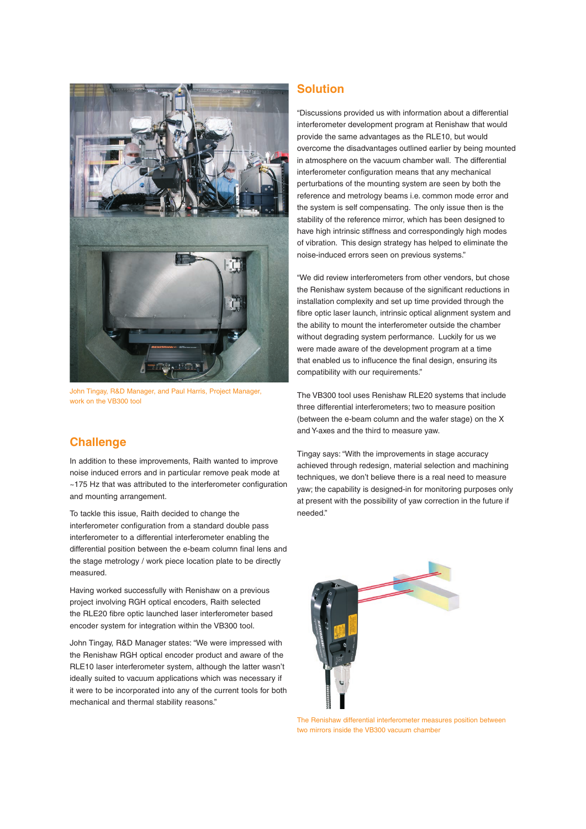

John Tingay, R&D Manager, and Paul Harris, Project Manager, work on the VB300 tool

# **Challenge**

In addition to these improvements, Raith wanted to improve noise induced errors and in particular remove peak mode at ~175 Hz that was attributed to the interferometer configuration and mounting arrangement.

To tackle this issue, Raith decided to change the interferometer configuration from a standard double pass interferometer to a differential interferometer enabling the differential position between the e-beam column final lens and the stage metrology / work piece location plate to be directly measured.

Having worked successfully with Renishaw on a previous project involving RGH optical encoders, Raith selected the RLE20 fibre optic launched laser interferometer based encoder system for integration within the VB300 tool.

John Tingay, R&D Manager states: "We were impressed with the Renishaw RGH optical encoder product and aware of the RLE10 laser interferometer system, although the latter wasn't ideally suited to vacuum applications which was necessary if it were to be incorporated into any of the current tools for both mechanical and thermal stability reasons."

# **Solution**

"Discussions provided us with information about a differential interferometer development program at Renishaw that would provide the same advantages as the RLE10, but would overcome the disadvantages outlined earlier by being mounted in atmosphere on the vacuum chamber wall. The differential interferometer configuration means that any mechanical perturbations of the mounting system are seen by both the reference and metrology beams i.e. common mode error and the system is self compensating. The only issue then is the stability of the reference mirror, which has been designed to have high intrinsic stiffness and correspondingly high modes of vibration. This design strategy has helped to eliminate the noise-induced errors seen on previous systems."

"We did review interferometers from other vendors, but chose the Renishaw system because of the significant reductions in installation complexity and set up time provided through the fibre optic laser launch, intrinsic optical alignment system and the ability to mount the interferometer outside the chamber without degrading system performance. Luckily for us we were made aware of the development program at a time that enabled us to influcence the final design, ensuring its compatibility with our requirements."

The VB300 tool uses Renishaw RLE20 systems that include three differential interferometers; two to measure position (between the e-beam column and the wafer stage) on the X and Y-axes and the third to measure yaw.

Tingay says: "With the improvements in stage accuracy achieved through redesign, material selection and machining techniques, we don't believe there is a real need to measure yaw; the capability is designed-in for monitoring purposes only at present with the possibility of yaw correction in the future if needed."



The Renishaw differential interferometer measures position between two mirrors inside the VB300 vacuum chamber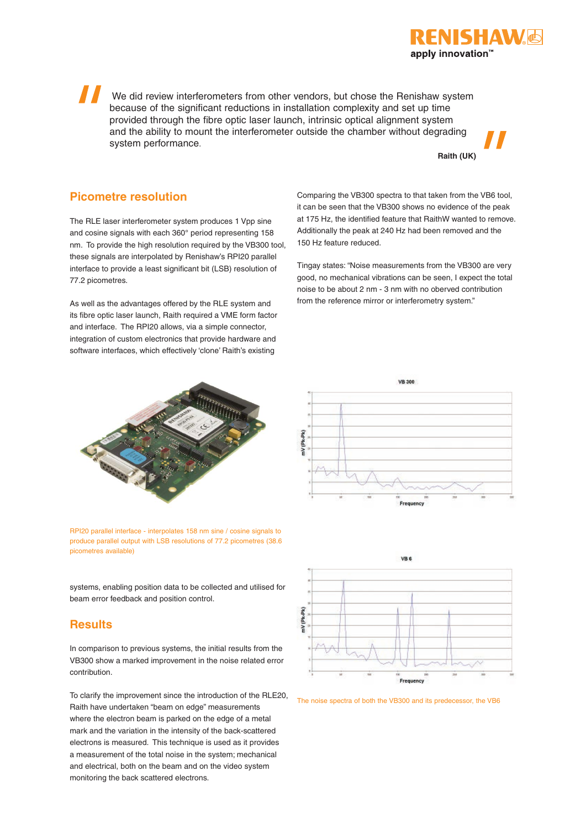We did review interferometers from other vendors, but chose the Renishaw system because of the significant reductions in installation complexity and set up time provided through the fibre optic laser launch, intrinsic optical alignment system and the ability to mount the interferometer outside the chamber without degrading system performance.

**Raith (UK)**

apply innovation™

IISHAW

### **Picometre resolution**

The RLE laser interferometer system produces 1 Vpp sine and cosine signals with each 360° period representing 158 nm. To provide the high resolution required by the VB300 tool, these signals are interpolated by Renishaw's RPI20 parallel interface to provide a least significant bit (LSB) resolution of 77.2 picometres.

As well as the advantages offered by the RLE system and its fibre optic laser launch, Raith required a VME form factor and interface. The RPI20 allows, via a simple connector, integration of custom electronics that provide hardware and software interfaces, which effectively 'clone' Raith's existing



RPI20 parallel interface - interpolates 158 nm sine / cosine signals to produce parallel output with LSB resolutions of 77.2 picometres (38.6 picometres available)

systems, enabling position data to be collected and utilised for beam error feedback and position control.

### **Results**

In comparison to previous systems, the initial results from the VB300 show a marked improvement in the noise related error contribution.

To clarify the improvement since the introduction of the RLE20, Raith have undertaken "beam on edge" measurements where the electron beam is parked on the edge of a metal mark and the variation in the intensity of the back-scattered electrons is measured. This technique is used as it provides a measurement of the total noise in the system; mechanical and electrical, both on the beam and on the video system monitoring the back scattered electrons.

Comparing the VB300 spectra to that taken from the VB6 tool, it can be seen that the VB300 shows no evidence of the peak at 175 Hz, the identified feature that RaithW wanted to remove. Additionally the peak at 240 Hz had been removed and the 150 Hz feature reduced.

Tingay states: "Noise measurements from the VB300 are very good, no mechanical vibrations can be seen, I expect the total noise to be about 2 nm - 3 nm with no oberved contribution from the reference mirror or interferometry system."





The noise spectra of both the VB300 and its predecessor, the VB6